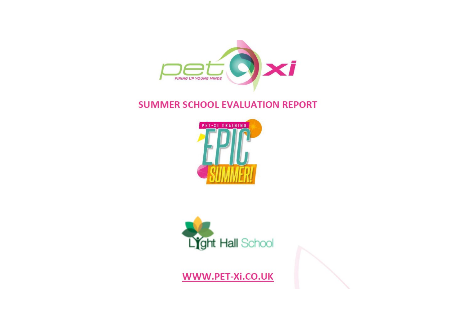

# **SUMMER SCHOOL EVALUATION REPORT**





WWW.PET-Xi.CO.UK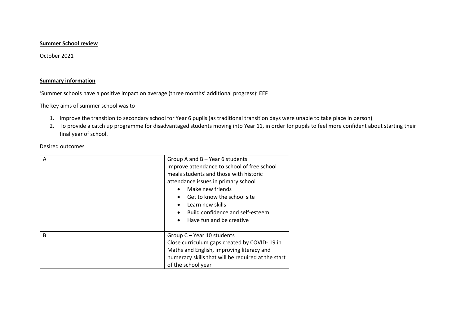#### **Summer School review**

October 2021

#### **Summary information**

'Summer schools have a positive impact on average (three months' additional progress)' EEF

The key aims of summer school was to

- 1. Improve the transition to secondary school for Year 6 pupils (as traditional transition days were unable to take place in person)
- 2. To provide a catch up programme for disadvantaged students moving into Year 11, in order for pupils to feel more confident about starting their final year of school.

Desired outcomes

| $\mathsf{A}$ | Group A and $B - Year$ 6 students<br>Improve attendance to school of free school<br>meals students and those with historic<br>attendance issues in primary school<br>Make new friends<br>$\bullet$<br>Get to know the school site<br>$\bullet$<br>Learn new skills<br>$\bullet$<br>Build confidence and self-esteem<br>$\bullet$<br>Have fun and be creative<br>$\bullet$ |  |
|--------------|---------------------------------------------------------------------------------------------------------------------------------------------------------------------------------------------------------------------------------------------------------------------------------------------------------------------------------------------------------------------------|--|
| B            | Group C - Year 10 students<br>Close curriculum gaps created by COVID-19 in<br>Maths and English, improving literacy and<br>numeracy skills that will be required at the start<br>of the school year                                                                                                                                                                       |  |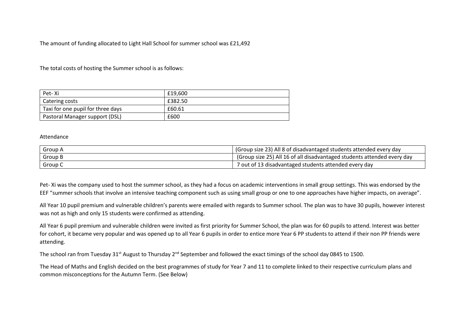The amount of funding allocated to Light Hall School for summer school was £21,492

The total costs of hosting the Summer school is as follows:

| Pet-Xi                            | £19.600 |
|-----------------------------------|---------|
| Catering costs                    | £382.50 |
| Taxi for one pupil for three days | £60.61  |
| Pastoral Manager support (DSL)    | £600    |

#### Attendance

| Group A | (Group size 23) All 8 of disadvantaged students attended every day      |  |
|---------|-------------------------------------------------------------------------|--|
| Group B | (Group size 25) All 16 of all disadvantaged students attended every day |  |
| Group C | 7 out of 13 disadvantaged students attended every day                   |  |

Pet- Xi was the company used to host the summer school, as they had a focus on academic interventions in small group settings. This was endorsed by the EEF "summer schools that involve an intensive teaching component such as using small group or one to one approaches have higher impacts, on average".

All Year 10 pupil premium and vulnerable children's parents were emailed with regards to Summer school. The plan was to have 30 pupils, however interest was not as high and only 15 students were confirmed as attending.

All Year 6 pupil premium and vulnerable children were invited as first priority for Summer School, the plan was for 60 pupils to attend. Interest was better for cohort, it became very popular and was opened up to all Year 6 pupils in order to entice more Year 6 PP students to attend if their non PP friends were attending.

The school ran from Tuesday 31st August to Thursday 2<sup>nd</sup> September and followed the exact timings of the school day 0845 to 1500.

The Head of Maths and English decided on the best programmes of study for Year 7 and 11 to complete linked to their respective curriculum plans and common misconceptions for the Autumn Term. (See Below)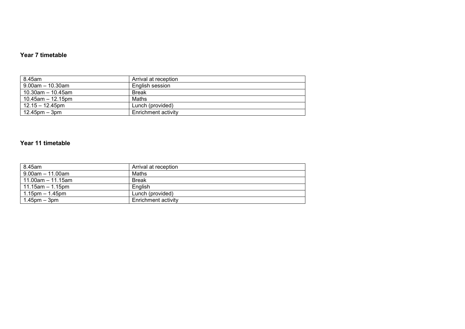#### **Year 7 timetable**

| 8.45am                 | Arrival at reception |
|------------------------|----------------------|
| $9.00$ am – 10.30am    | English session      |
| $10.30$ am – 10.45am   | <b>Break</b>         |
| $10.45$ am $-12.15$ pm | Maths                |
| $12.15 - 12.45$ pm     | Lunch (provided)     |
| $12.45$ pm $-3$ pm     | Enrichment activity  |

#### **Year 11 timetable**

| 8.45am                | Arrival at reception |
|-----------------------|----------------------|
| $9.00$ am $-11.00$ am | Maths                |
| l 11.00am – 11.15am   | <b>Break</b>         |
| l 11.15am – 1.15pm    | Enalish              |
| 1.15pm $-$ 1.45pm     | Lunch (provided)     |
| $1.45$ pm $-3$ pm     | Enrichment activity  |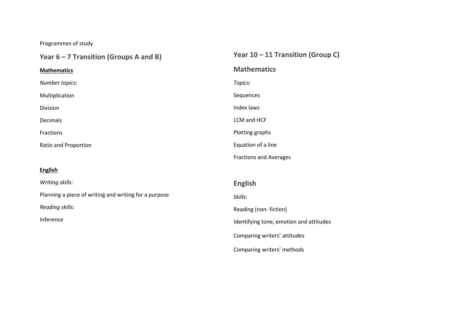## Programmes of study

| Year $6 - 7$ Transition (Groups A and B)              | Year $10 - 11$ Transition (Group C)     |
|-------------------------------------------------------|-----------------------------------------|
| <b>Mathematics</b>                                    | <b>Mathematics</b>                      |
| Number topics:                                        | Topics:                                 |
| Multiplication                                        | Sequences                               |
| Division                                              | Index laws                              |
| Decimals                                              | LCM and HCF                             |
| Fractions                                             | Plotting graphs                         |
| Ratio and Proportion                                  | Equation of a line                      |
|                                                       | <b>Fractions and Averages</b>           |
| <b>English</b>                                        |                                         |
| Writing skills:                                       | <b>English</b>                          |
| Planning a piece of writing and writing for a purpose | Skills:                                 |
| Reading skills:                                       | Reading (non-fiction)                   |
| Inference                                             | Identifying tone, emotion and attitudes |
|                                                       | Comparing writers' attitudes            |

Comparing writers' methods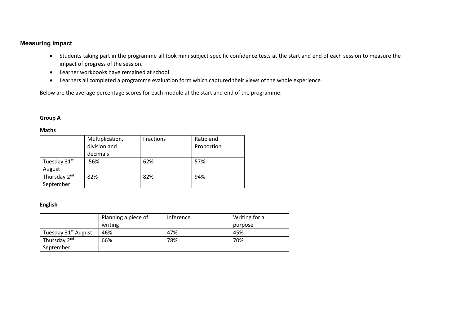#### **Measuring impact**

- Students taking part in the programme all took mini subject specific confidence tests at the start and end of each session to measure the impact of progress of the session.
- Learner workbooks have remained at school
- Learners all completed a programme evaluation form which captured their views of the whole experience

Below are the average percentage scores for each module at the start and end of the programme:

#### **Group A**

#### **Maths**

|                          | Multiplication, | <b>Fractions</b> | Ratio and  |
|--------------------------|-----------------|------------------|------------|
|                          | division and    |                  | Proportion |
|                          | decimals        |                  |            |
| Tuesday 31st             | 56%             | 62%              | 57%        |
| August                   |                 |                  |            |
| Thursday 2 <sup>nd</sup> | 82%             | 82%              | 94%        |
| September                |                 |                  |            |

#### **English**

|                                 | Planning a piece of | Inference | Writing for a |
|---------------------------------|---------------------|-----------|---------------|
|                                 | writing             |           | purpose       |
| Tuesday 31 <sup>st</sup> August | 46%                 | 47%       | 45%           |
| Thursday 2 <sup>nd</sup>        | 66%                 | 78%       | 70%           |
| September                       |                     |           |               |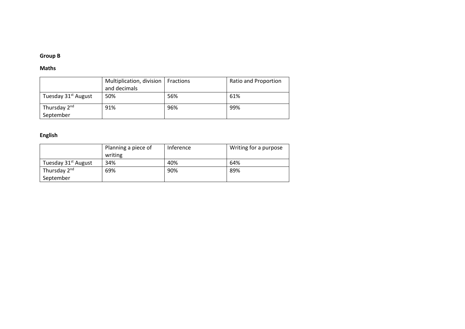#### **Group B**

#### **Maths**

|                                 | Multiplication, division   Fractions<br>and decimals |     | Ratio and Proportion |
|---------------------------------|------------------------------------------------------|-----|----------------------|
| Tuesday 31 <sup>st</sup> August | 50%                                                  | 56% | 61%                  |
| Thursday 2 <sup>nd</sup>        | 91%                                                  | 96% | 99%                  |
| September                       |                                                      |     |                      |

#### **English**

|                                 | Planning a piece of | Inference | Writing for a purpose |
|---------------------------------|---------------------|-----------|-----------------------|
|                                 | writing             |           |                       |
| Tuesday 31 <sup>st</sup> August | 34%                 | 40%       | 64%                   |
| Thursday 2 <sup>nd</sup>        | 69%                 | 90%       | 89%                   |
| September                       |                     |           |                       |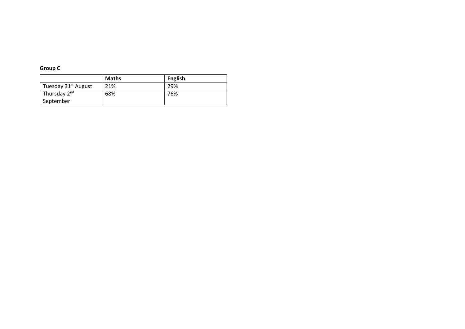### **Group C**

|                                 | <b>Maths</b> | <b>English</b> |
|---------------------------------|--------------|----------------|
| Tuesday 31 <sup>st</sup> August | 21%          | 29%            |
| Thursday 2 <sup>nd</sup>        | 68%          | 76%            |
| September                       |              |                |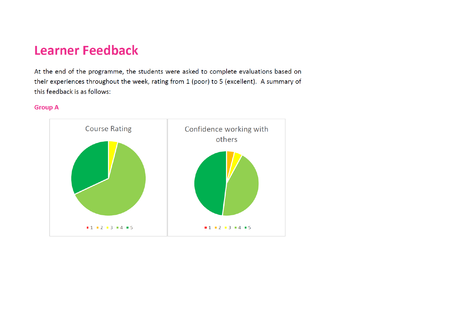# **Learner Feedback**

At the end of the programme, the students were asked to complete evaluations based on their experiences throughout the week, rating from 1 (poor) to 5 (excellent). A summary of this feedback is as follows:

#### **Group A**

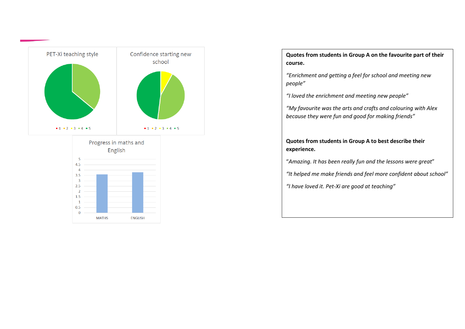

 $4.5$  $\overline{4}$  $3.5$  $\overline{\mathbf{3}}$  $2.5$  $\overline{2}$ 1.5  $\overline{1}$  $0.5$  $\bf{0}$ 

**MATHS** 

**ENGLISH** 

**Quotes from students in Group A on the favourite part of their course.**

*"Enrichment and getting a feel for school and meeting new people"*

*"I loved the enrichment and meeting new people"*

*"My favourite was the arts and crafts and colouring with Alex because they were fun and good for making friends"*

#### **Quotes from students in Group A to best describe their experience.**

"*Amazing. It has been really fun and the lessons were great*"

*"It helped me make friends and feel more confident about school"*

*"I have loved it. Pet-Xi are good at teaching"*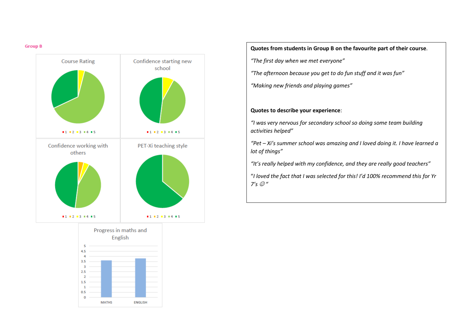#### **Group B**





**Quotes from students in Group B on the favourite part of their course**.

*"The first day when we met everyone"*

*"The afternoon because you get to do fun stuff and it was fun"* 

*"Making new friends and playing games"*

#### **Quotes to describe your experience**:

*"I was very nervous for secondary school so doing some team building activities helped"*

*"Pet – Xi's summer school was amazing and I loved doing it. I have learned a lot of things"*

*"It's really helped with my confidence, and they are really good teachers"* 

"*I loved the fact that I was selected for this! I'd 100% recommend this for Yr*   $7's$   $\odot$  "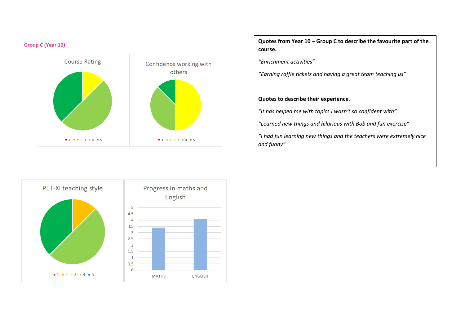#### **Group C (Year 10)**



**Quotes from Year 10 – Group C to describe the favourite part of the course.** 

*"Enrichment activities"*

*"Earning raffle tickets and having a great team teaching us"*

#### **Quotes to describe their experience**.

*"It has helped me with topics I wasn't so confident with"*

*"Learned new things and hilarious with Bob and fun exercise"*

*"I had fun learning new things and the teachers were extremely nice and funny"*